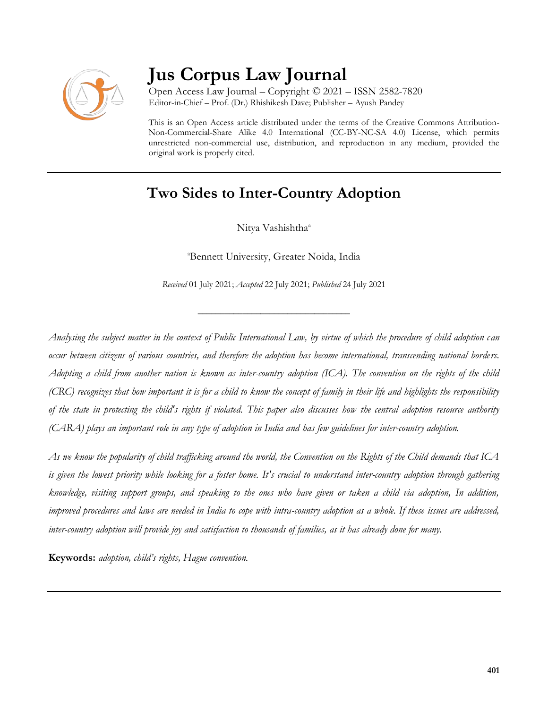

# **Jus Corpus Law Journal**

Open Access Law Journal – Copyright © 2021 – ISSN 2582-7820 Editor-in-Chief – Prof. (Dr.) Rhishikesh Dave; Publisher – Ayush Pandey

This is an Open Access article distributed under the terms of the Creative Commons Attribution-Non-Commercial-Share Alike 4.0 International (CC-BY-NC-SA 4.0) License, which permits unrestricted non-commercial use, distribution, and reproduction in any medium, provided the original work is properly cited.

# **Two Sides to Inter-Country Adoption**

Nitya Vashishtha<sup>a</sup>

<sup>a</sup>Bennett University, Greater Noida, India

*Received* 01 July 2021; *Accepted* 22 July 2021; *Published* 24 July 2021

\_\_\_\_\_\_\_\_\_\_\_\_\_\_\_\_\_\_\_\_\_\_\_\_\_\_\_\_\_\_\_\_\_\_

*Analysing the subject matter in the context of Public International Law, by virtue of which the procedure of child adoption can occur between citizens of various countries, and therefore the adoption has become international, transcending national borders. Adopting a child from another nation is known as inter-country adoption (ICA). The convention on the rights of the child (CRC) recognizes that how important it is for a child to know the concept of family in their life and highlights the responsibility of the state in protecting the child's rights if violated. This paper also discusses how the central adoption resource authority (CARA) plays an important role in any type of adoption in India and has few guidelines for inter-country adoption.*

*As we know the popularity of child trafficking around the world, the Convention on the Rights of the Child demands that ICA is given the lowest priority while looking for a foster home. It's crucial to understand inter-country adoption through gathering knowledge, visiting support groups, and speaking to the ones who have given or taken a child via adoption, In addition, improved procedures and laws are needed in India to cope with intra-country adoption as a whole. If these issues are addressed, inter-country adoption will provide joy and satisfaction to thousands of families, as it has already done for many.*

**Keywords:** *adoption, child's rights, Hague convention.*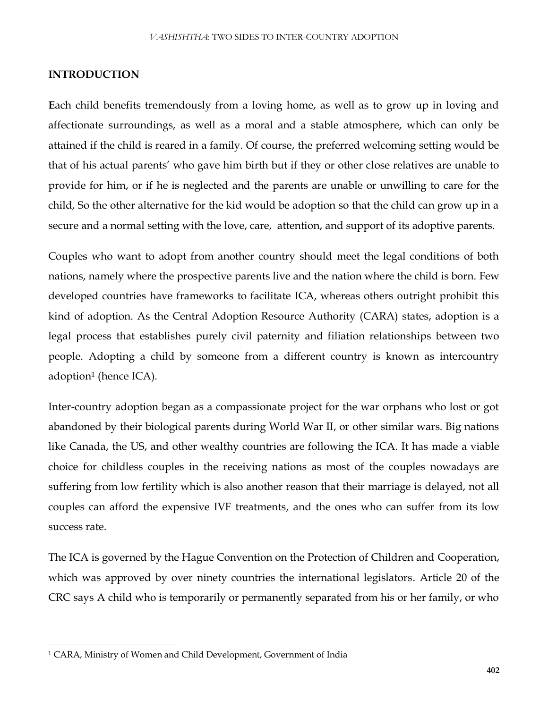### **INTRODUCTION**

**E**ach child benefits tremendously from a loving home, as well as to grow up in loving and affectionate surroundings, as well as a moral and a stable atmosphere, which can only be attained if the child is reared in a family. Of course, the preferred welcoming setting would be that of his actual parents' who gave him birth but if they or other close relatives are unable to provide for him, or if he is neglected and the parents are unable or unwilling to care for the child, So the other alternative for the kid would be adoption so that the child can grow up in a secure and a normal setting with the love, care, attention, and support of its adoptive parents.

Couples who want to adopt from another country should meet the legal conditions of both nations, namely where the prospective parents live and the nation where the child is born. Few developed countries have frameworks to facilitate ICA, whereas others outright prohibit this kind of adoption. As the Central Adoption Resource Authority (CARA) states, adoption is a legal process that establishes purely civil paternity and filiation relationships between two people. Adopting a child by someone from a different country is known as intercountry adoption<sup>1</sup> (hence ICA).

Inter-country adoption began as a compassionate project for the war orphans who lost or got abandoned by their biological parents during World War II, or other similar wars. Big nations like Canada, the US, and other wealthy countries are following the ICA. It has made a viable choice for childless couples in the receiving nations as most of the couples nowadays are suffering from low fertility which is also another reason that their marriage is delayed, not all couples can afford the expensive IVF treatments, and the ones who can suffer from its low success rate.

The ICA is governed by the Hague Convention on the Protection of Children and Cooperation, which was approved by over ninety countries the international legislators. Article 20 of the CRC says A child who is temporarily or permanently separated from his or her family, or who

 $\overline{\phantom{a}}$ 

<sup>&</sup>lt;sup>1</sup> CARA, Ministry of Women and Child Development, Government of India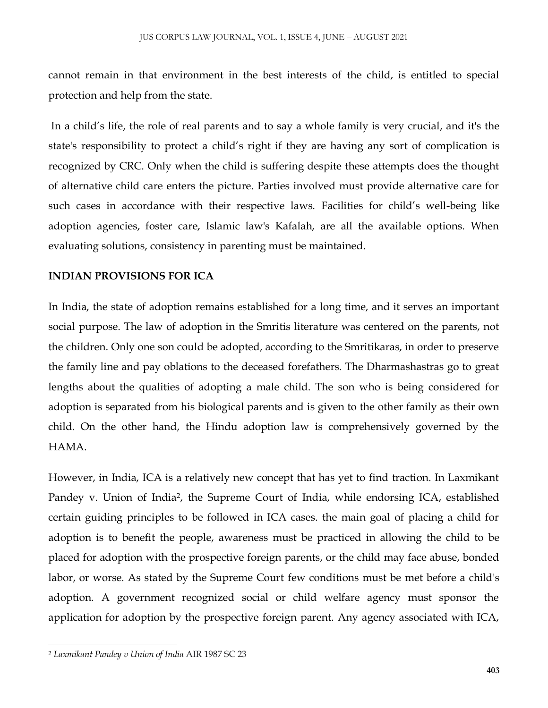cannot remain in that environment in the best interests of the child, is entitled to special protection and help from the state.

In a child's life, the role of real parents and to say a whole family is very crucial, and it's the state's responsibility to protect a child's right if they are having any sort of complication is recognized by CRC. Only when the child is suffering despite these attempts does the thought of alternative child care enters the picture. Parties involved must provide alternative care for such cases in accordance with their respective laws. Facilities for child's well-being like adoption agencies, foster care, Islamic law's Kafalah, are all the available options. When evaluating solutions, consistency in parenting must be maintained.

### **INDIAN PROVISIONS FOR ICA**

In India, the state of adoption remains established for a long time, and it serves an important social purpose. The law of adoption in the Smritis literature was centered on the parents, not the children. Only one son could be adopted, according to the Smritikaras, in order to preserve the family line and pay oblations to the deceased forefathers. The Dharmashastras go to great lengths about the qualities of adopting a male child. The son who is being considered for adoption is separated from his biological parents and is given to the other family as their own child. On the other hand, the Hindu adoption law is comprehensively governed by the HAMA.

However, in India, ICA is a relatively new concept that has yet to find traction. In Laxmikant Pandey v. Union of India<sup>2</sup>, the Supreme Court of India, while endorsing ICA, established certain guiding principles to be followed in ICA cases. the main goal of placing a child for adoption is to benefit the people, awareness must be practiced in allowing the child to be placed for adoption with the prospective foreign parents, or the child may face abuse, bonded labor, or worse. As stated by the Supreme Court few conditions must be met before a child's adoption. A government recognized social or child welfare agency must sponsor the application for adoption by the prospective foreign parent. Any agency associated with ICA,

 $\overline{\phantom{a}}$ <sup>2</sup> *Laxmikant Pandey v Union of India* AIR 1987 SC 23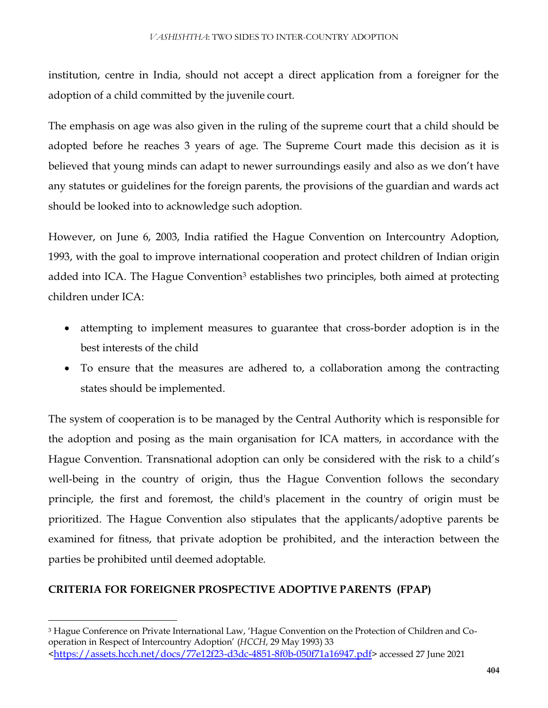institution, centre in India, should not accept a direct application from a foreigner for the adoption of a child committed by the juvenile court.

The emphasis on age was also given in the ruling of the supreme court that a child should be adopted before he reaches 3 years of age. The Supreme Court made this decision as it is believed that young minds can adapt to newer surroundings easily and also as we don't have any statutes or guidelines for the foreign parents, the provisions of the guardian and wards act should be looked into to acknowledge such adoption.

However, on June 6, 2003, India ratified the Hague Convention on Intercountry Adoption, 1993, with the goal to improve international cooperation and protect children of Indian origin added into ICA. The Hague Convention<sup>3</sup> establishes two principles, both aimed at protecting children under ICA:

- attempting to implement measures to guarantee that cross-border adoption is in the best interests of the child
- To ensure that the measures are adhered to, a collaboration among the contracting states should be implemented.

The system of cooperation is to be managed by the Central Authority which is responsible for the adoption and posing as the main organisation for ICA matters, in accordance with the Hague Convention. Transnational adoption can only be considered with the risk to a child's well-being in the country of origin, thus the Hague Convention follows the secondary principle, the first and foremost, the child's placement in the country of origin must be prioritized. The Hague Convention also stipulates that the applicants/adoptive parents be examined for fitness, that private adoption be prohibited, and the interaction between the parties be prohibited until deemed adoptable.

# **CRITERIA FOR FOREIGNER PROSPECTIVE ADOPTIVE PARENTS (FPAP)**

 $\overline{a}$ 

<sup>3</sup> Hague Conference on Private International Law, 'Hague Convention on the Protection of Children and Cooperation in Respect of Intercountry Adoption' (*HCCH*, 29 May 1993) 33 <<https://assets.hcch.net/docs/77e12f23-d3dc-4851-8f0b-050f71a16947.pdf>> accessed 27 June 2021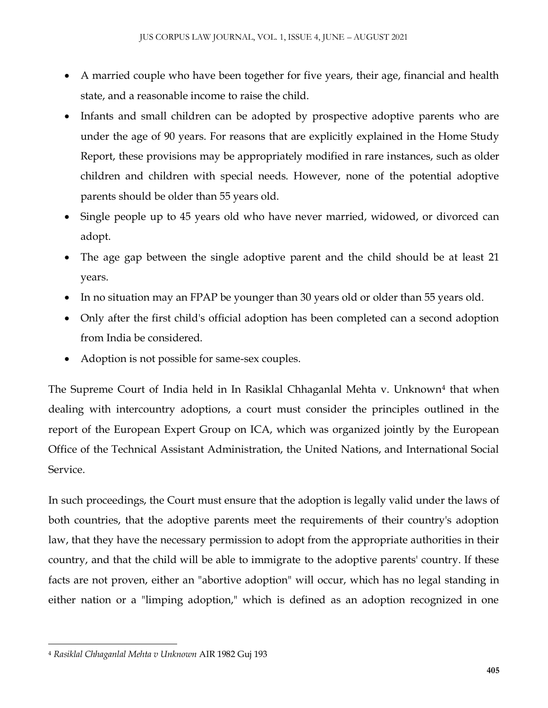- A married couple who have been together for five years, their age, financial and health state, and a reasonable income to raise the child.
- Infants and small children can be adopted by prospective adoptive parents who are under the age of 90 years. For reasons that are explicitly explained in the Home Study Report, these provisions may be appropriately modified in rare instances, such as older children and children with special needs. However, none of the potential adoptive parents should be older than 55 years old.
- Single people up to 45 years old who have never married, widowed, or divorced can adopt.
- The age gap between the single adoptive parent and the child should be at least 21 years.
- In no situation may an FPAP be younger than 30 years old or older than 55 years old.
- Only after the first child's official adoption has been completed can a second adoption from India be considered.
- Adoption is not possible for same-sex couples.

The Supreme Court of India held in In Rasiklal Chhaganlal Mehta v. Unknown<sup>4</sup> that when dealing with intercountry adoptions, a court must consider the principles outlined in the report of the European Expert Group on ICA, which was organized jointly by the European Office of the Technical Assistant Administration, the United Nations, and International Social Service.

In such proceedings, the Court must ensure that the adoption is legally valid under the laws of both countries, that the adoptive parents meet the requirements of their country's adoption law, that they have the necessary permission to adopt from the appropriate authorities in their country, and that the child will be able to immigrate to the adoptive parents' country. If these facts are not proven, either an "abortive adoption" will occur, which has no legal standing in either nation or a "limping adoption," which is defined as an adoption recognized in one

 $\overline{\phantom{a}}$ <sup>4</sup> *Rasiklal Chhaganlal Mehta v Unknown* AIR 1982 Guj 193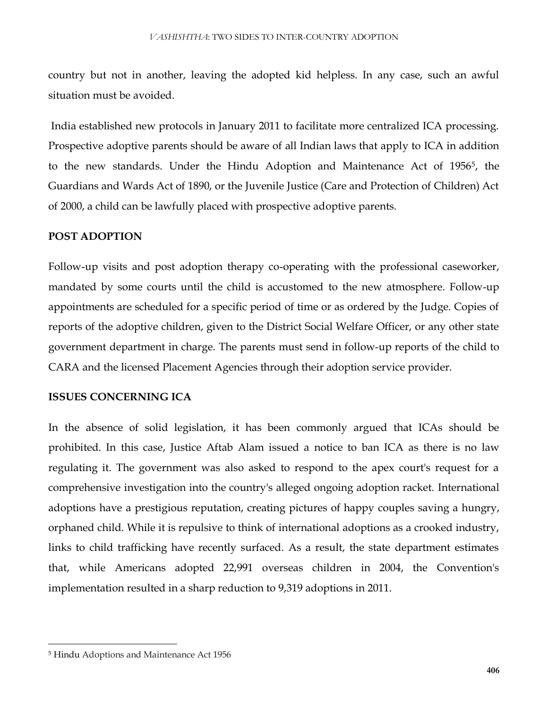country but not in another, leaving the adopted kid helpless. In any case, such an awful situation must be avoided.

India established new protocols in January 2011 to facilitate more centralized ICA processing. Prospective adoptive parents should be aware of all Indian laws that apply to ICA in addition to the new standards. Under the Hindu Adoption and Maintenance Act of 1956<sup>5</sup> , the Guardians and Wards Act of 1890, or the Juvenile Justice (Care and Protection of Children) Act of 2000, a child can be lawfully placed with prospective adoptive parents.

# **POST ADOPTION**

Follow-up visits and post adoption therapy co-operating with the professional caseworker, mandated by some courts until the child is accustomed to the new atmosphere. Follow-up appointments are scheduled for a specific period of time or as ordered by the Judge. Copies of reports of the adoptive children, given to the District Social Welfare Officer, or any other state government department in charge. The parents must send in follow-up reports of the child to CARA and the licensed Placement Agencies through their adoption service provider.

#### **ISSUES CONCERNING ICA**

In the absence of solid legislation, it has been commonly argued that ICAs should be prohibited. In this case, Justice Aftab Alam issued a notice to ban ICA as there is no law regulating it. The government was also asked to respond to the apex court's request for a comprehensive investigation into the country's alleged ongoing adoption racket. International adoptions have a prestigious reputation, creating pictures of happy couples saving a hungry, orphaned child. While it is repulsive to think of international adoptions as a crooked industry, links to child trafficking have recently surfaced. As a result, the state department estimates that, while Americans adopted 22,991 overseas children in 2004, the Convention's implementation resulted in a sharp reduction to 9,319 adoptions in 2011.

 $\overline{\phantom{a}}$ 

<sup>5</sup> Hindu Adoptions and Maintenance Act 1956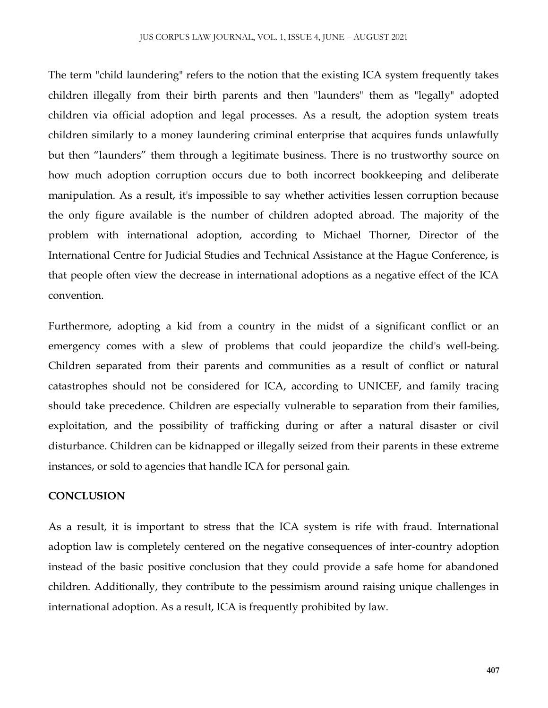The term "child laundering" refers to the notion that the existing ICA system frequently takes children illegally from their birth parents and then "launders" them as "legally" adopted children via official adoption and legal processes. As a result, the adoption system treats children similarly to a money laundering criminal enterprise that acquires funds unlawfully but then "launders" them through a legitimate business. There is no trustworthy source on how much adoption corruption occurs due to both incorrect bookkeeping and deliberate manipulation. As a result, it's impossible to say whether activities lessen corruption because the only figure available is the number of children adopted abroad. The majority of the problem with international adoption, according to Michael Thorner, Director of the International Centre for Judicial Studies and Technical Assistance at the Hague Conference, is that people often view the decrease in international adoptions as a negative effect of the ICA convention.

Furthermore, adopting a kid from a country in the midst of a significant conflict or an emergency comes with a slew of problems that could jeopardize the child's well-being. Children separated from their parents and communities as a result of conflict or natural catastrophes should not be considered for ICA, according to UNICEF, and family tracing should take precedence. Children are especially vulnerable to separation from their families, exploitation, and the possibility of trafficking during or after a natural disaster or civil disturbance. Children can be kidnapped or illegally seized from their parents in these extreme instances, or sold to agencies that handle ICA for personal gain.

#### **CONCLUSION**

As a result, it is important to stress that the ICA system is rife with fraud. International adoption law is completely centered on the negative consequences of inter-country adoption instead of the basic positive conclusion that they could provide a safe home for abandoned children. Additionally, they contribute to the pessimism around raising unique challenges in international adoption. As a result, ICA is frequently prohibited by law.